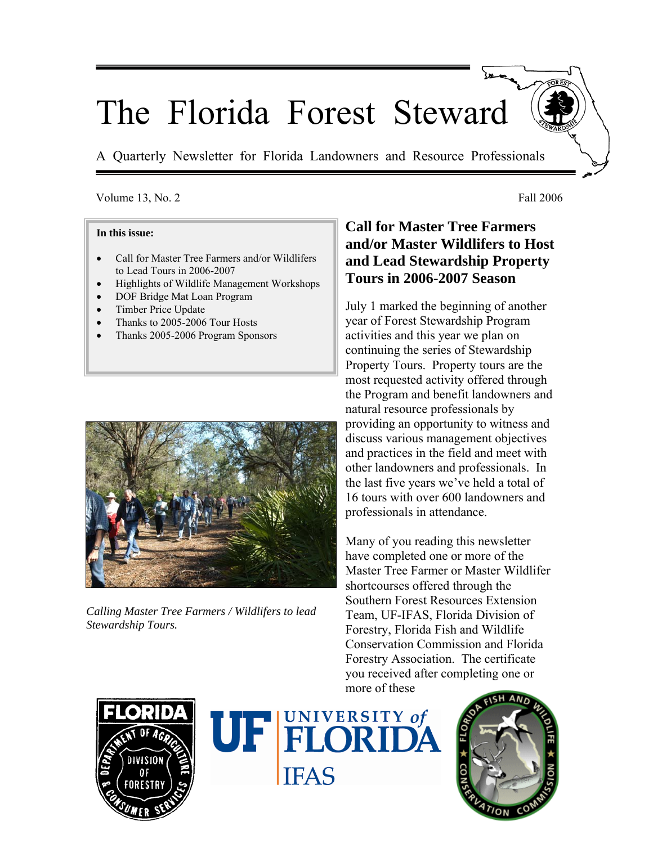# The Florida Forest Steward

A Quarterly Newsletter for Florida Landowners and Resource Professionals

#### Volume 13, No. 2 Fall 2006

#### **In this issue:**

- Call for Master Tree Farmers and/or Wildlifers to Lead Tours in 2006-2007
- Highlights of Wildlife Management Workshops
- DOF Bridge Mat Loan Program
- Timber Price Update
- Thanks to 2005-2006 Tour Hosts
- Thanks 2005-2006 Program Sponsors



*Calling Master Tree Farmers / Wildlifers to lead Stewardship Tours.*

## **Call for Master Tree Farmers and/or Master Wildlifers to Host and Lead Stewardship Property Tours in 2006-2007 Season**

July 1 marked the beginning of another year of Forest Stewardship Program activities and this year we plan on continuing the series of Stewardship Property Tours. Property tours are the most requested activity offered through the Program and benefit landowners and natural resource professionals by providing an opportunity to witness and discuss various management objectives and practices in the field and meet with other landowners and professionals. In the last five years we've held a total of 16 tours with over 600 landowners and professionals in attendance.

Many of you reading this newsletter have completed one or more of the Master Tree Farmer or Master Wildlifer shortcourses offered through the Southern Forest Resources Extension Team, UF-IFAS, Florida Division of Forestry, Florida Fish and Wildlife Conservation Commission and Florida Forestry Association. The certificate you received after completing one or more of these





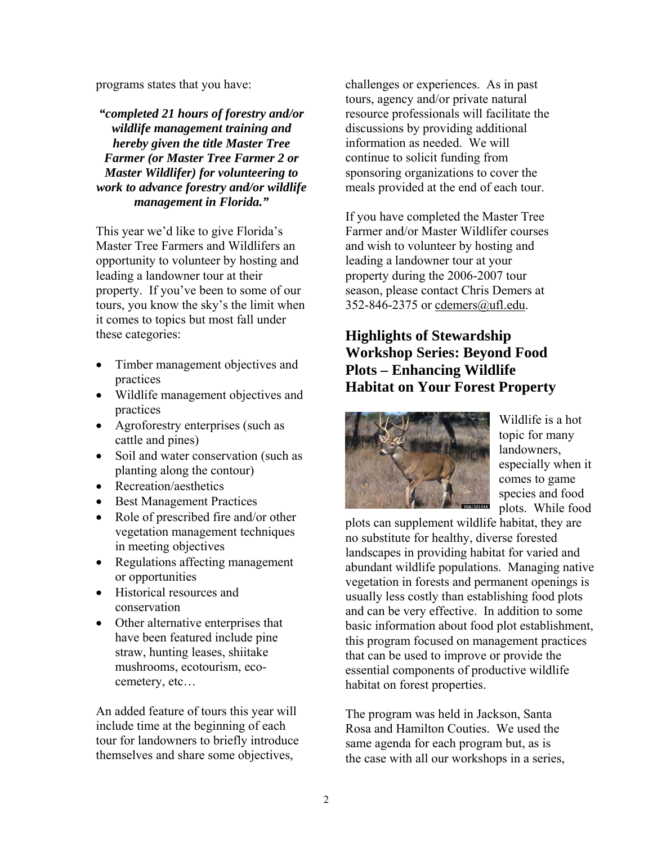programs states that you have:

*"completed 21 hours of forestry and/or wildlife management training and hereby given the title Master Tree Farmer (or Master Tree Farmer 2 or Master Wildlifer) for volunteering to work to advance forestry and/or wildlife management in Florida."* 

This year we'd like to give Florida's Master Tree Farmers and Wildlifers an opportunity to volunteer by hosting and leading a landowner tour at their property. If you've been to some of our tours, you know the sky's the limit when it comes to topics but most fall under these categories:

- Timber management objectives and practices
- Wildlife management objectives and practices
- Agroforestry enterprises (such as cattle and pines)
- Soil and water conservation (such as planting along the contour)
- Recreation/aesthetics
- Best Management Practices
- Role of prescribed fire and/or other vegetation management techniques in meeting objectives
- Regulations affecting management or opportunities
- Historical resources and conservation
- Other alternative enterprises that have been featured include pine straw, hunting leases, shiitake mushrooms, ecotourism, ecocemetery, etc…

An added feature of tours this year will include time at the beginning of each tour for landowners to briefly introduce themselves and share some objectives,

challenges or experiences. As in past tours, agency and/or private natural resource professionals will facilitate the discussions by providing additional information as needed. We will continue to solicit funding from sponsoring organizations to cover the meals provided at the end of each tour.

If you have completed the Master Tree Farmer and/or Master Wildlifer courses and wish to volunteer by hosting and leading a landowner tour at your property during the 2006-2007 tour season, please contact Chris Demers at 352-846-2375 or cdemers@ufl.edu.

## **Highlights of Stewardship Workshop Series: Beyond Food Plots – Enhancing Wildlife Habitat on Your Forest Property**



Wildlife is a hot topic for many landowners, especially when it comes to game species and food plots. While food

plots can supplement wildlife habitat, they are no substitute for healthy, diverse forested landscapes in providing habitat for varied and abundant wildlife populations. Managing native vegetation in forests and permanent openings is usually less costly than establishing food plots and can be very effective. In addition to some basic information about food plot establishment, this program focused on management practices that can be used to improve or provide the essential components of productive wildlife habitat on forest properties.

The program was held in Jackson, Santa Rosa and Hamilton Couties. We used the same agenda for each program but, as is the case with all our workshops in a series,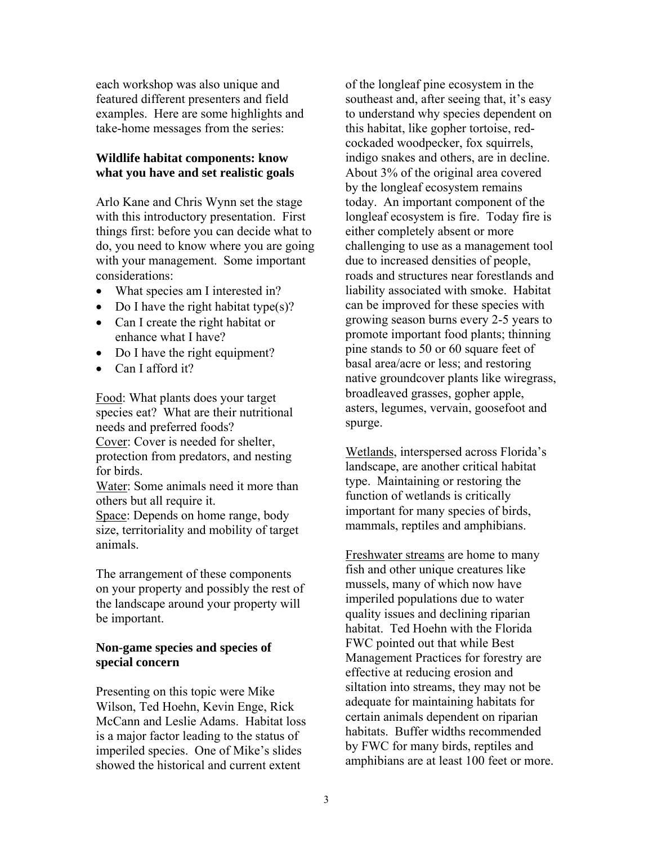each workshop was also unique and featured different presenters and field examples. Here are some highlights and take-home messages from the series:

#### **Wildlife habitat components: know what you have and set realistic goals**

Arlo Kane and Chris Wynn set the stage with this introductory presentation. First things first: before you can decide what to do, you need to know where you are going with your management. Some important considerations:

- What species am I interested in?
- Do I have the right habitat type(s)?
- Can I create the right habitat or enhance what I have?
- Do I have the right equipment?
- Can I afford it?

Food: What plants does your target species eat? What are their nutritional needs and preferred foods? Cover: Cover is needed for shelter, protection from predators, and nesting for birds.

Water: Some animals need it more than others but all require it.

Space: Depends on home range, body size, territoriality and mobility of target animals.

The arrangement of these components on your property and possibly the rest of the landscape around your property will be important.

#### **Non-game species and species of special concern**

Presenting on this topic were Mike Wilson, Ted Hoehn, Kevin Enge, Rick McCann and Leslie Adams. Habitat loss is a major factor leading to the status of imperiled species. One of Mike's slides showed the historical and current extent

of the longleaf pine ecosystem in the southeast and, after seeing that, it's easy to understand why species dependent on this habitat, like gopher tortoise, redcockaded woodpecker, fox squirrels, indigo snakes and others, are in decline. About 3% of the original area covered by the longleaf ecosystem remains today. An important component of the longleaf ecosystem is fire. Today fire is either completely absent or more challenging to use as a management tool due to increased densities of people, roads and structures near forestlands and liability associated with smoke. Habitat can be improved for these species with growing season burns every 2-5 years to promote important food plants; thinning pine stands to 50 or 60 square feet of basal area/acre or less; and restoring native groundcover plants like wiregrass, broadleaved grasses, gopher apple, asters, legumes, vervain, goosefoot and spurge.

Wetlands, interspersed across Florida's landscape, are another critical habitat type. Maintaining or restoring the function of wetlands is critically important for many species of birds, mammals, reptiles and amphibians.

Freshwater streams are home to many fish and other unique creatures like mussels, many of which now have imperiled populations due to water quality issues and declining riparian habitat. Ted Hoehn with the Florida FWC pointed out that while Best Management Practices for forestry are effective at reducing erosion and siltation into streams, they may not be adequate for maintaining habitats for certain animals dependent on riparian habitats. Buffer widths recommended by FWC for many birds, reptiles and amphibians are at least 100 feet or more.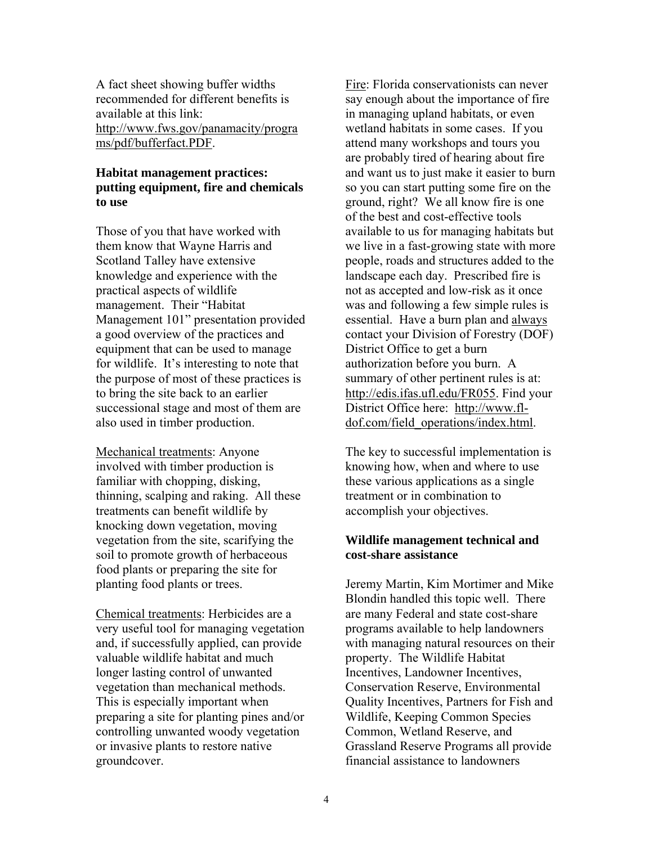A fact sheet showing buffer widths recommended for different benefits is available at this link: http://www.fws.gov/panamacity/progra ms/pdf/bufferfact.PDF.

#### **Habitat management practices: putting equipment, fire and chemicals to use**

Those of you that have worked with them know that Wayne Harris and Scotland Talley have extensive knowledge and experience with the practical aspects of wildlife management. Their "Habitat Management 101" presentation provided a good overview of the practices and equipment that can be used to manage for wildlife. It's interesting to note that the purpose of most of these practices is to bring the site back to an earlier successional stage and most of them are also used in timber production.

Mechanical treatments: Anyone involved with timber production is familiar with chopping, disking, thinning, scalping and raking. All these treatments can benefit wildlife by knocking down vegetation, moving vegetation from the site, scarifying the soil to promote growth of herbaceous food plants or preparing the site for planting food plants or trees.

Chemical treatments: Herbicides are a very useful tool for managing vegetation and, if successfully applied, can provide valuable wildlife habitat and much longer lasting control of unwanted vegetation than mechanical methods. This is especially important when preparing a site for planting pines and/or controlling unwanted woody vegetation or invasive plants to restore native groundcover.

Fire: Florida conservationists can never say enough about the importance of fire in managing upland habitats, or even wetland habitats in some cases. If you attend many workshops and tours you are probably tired of hearing about fire and want us to just make it easier to burn so you can start putting some fire on the ground, right? We all know fire is one of the best and cost-effective tools available to us for managing habitats but we live in a fast-growing state with more people, roads and structures added to the landscape each day. Prescribed fire is not as accepted and low-risk as it once was and following a few simple rules is essential. Have a burn plan and always contact your Division of Forestry (DOF) District Office to get a burn authorization before you burn. A summary of other pertinent rules is at: http://edis.ifas.ufl.edu/FR055. Find your District Office here: http://www.fldof.com/field\_operations/index.html.

The key to successful implementation is knowing how, when and where to use these various applications as a single treatment or in combination to accomplish your objectives.

#### **Wildlife management technical and cost-share assistance**

Jeremy Martin, Kim Mortimer and Mike Blondin handled this topic well. There are many Federal and state cost-share programs available to help landowners with managing natural resources on their property. The Wildlife Habitat Incentives, Landowner Incentives, Conservation Reserve, Environmental Quality Incentives, Partners for Fish and Wildlife, Keeping Common Species Common, Wetland Reserve, and Grassland Reserve Programs all provide financial assistance to landowners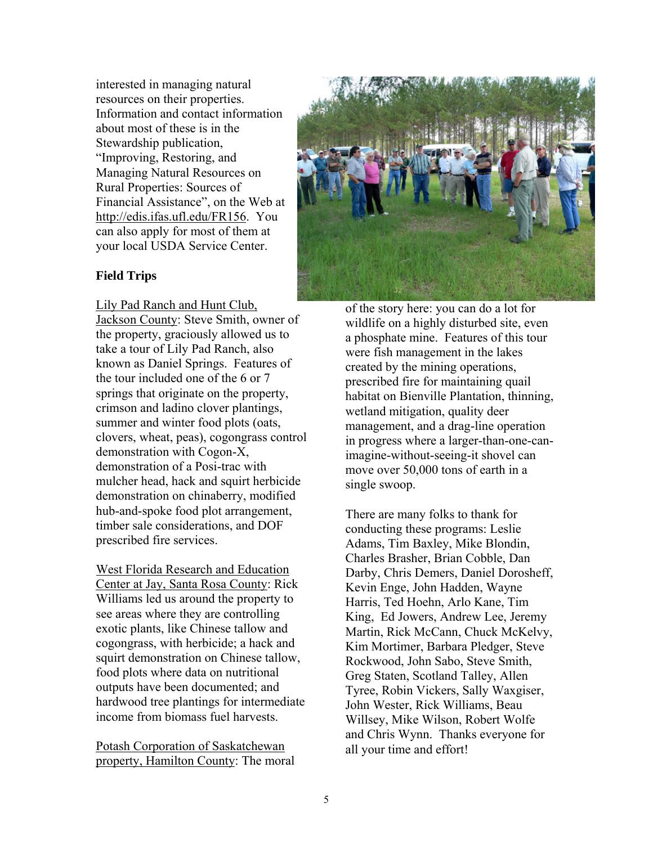interested in managing natural resources on their properties. Information and contact information about most of these is in the Stewardship publication, "Improving, Restoring, and Managing Natural Resources on Rural Properties: Sources of Financial Assistance", on the Web at http://edis.ifas.ufl.edu/FR156. You can also apply for most of them at your local USDA Service Center.

#### **Field Trips**

Lily Pad Ranch and Hunt Club,

Jackson County: Steve Smith, owner of the property, graciously allowed us to take a tour of Lily Pad Ranch, also known as Daniel Springs. Features of the tour included one of the 6 or 7 springs that originate on the property, crimson and ladino clover plantings, summer and winter food plots (oats, clovers, wheat, peas), cogongrass control demonstration with Cogon-X, demonstration of a Posi-trac with mulcher head, hack and squirt herbicide demonstration on chinaberry, modified hub-and-spoke food plot arrangement, timber sale considerations, and DOF prescribed fire services.

West Florida Research and Education Center at Jay, Santa Rosa County: Rick Williams led us around the property to see areas where they are controlling exotic plants, like Chinese tallow and cogongrass, with herbicide; a hack and squirt demonstration on Chinese tallow, food plots where data on nutritional outputs have been documented; and hardwood tree plantings for intermediate income from biomass fuel harvests.

Potash Corporation of Saskatchewan property, Hamilton County: The moral



of the story here: you can do a lot for wildlife on a highly disturbed site, even a phosphate mine. Features of this tour were fish management in the lakes created by the mining operations, prescribed fire for maintaining quail habitat on Bienville Plantation, thinning, wetland mitigation, quality deer management, and a drag-line operation in progress where a larger-than-one-canimagine-without-seeing-it shovel can move over 50,000 tons of earth in a single swoop.

There are many folks to thank for conducting these programs: Leslie Adams, Tim Baxley, Mike Blondin, Charles Brasher, Brian Cobble, Dan Darby, Chris Demers, Daniel Dorosheff, Kevin Enge, John Hadden, Wayne Harris, Ted Hoehn, Arlo Kane, Tim King, Ed Jowers, Andrew Lee, Jeremy Martin, Rick McCann, Chuck McKelvy, Kim Mortimer, Barbara Pledger, Steve Rockwood, John Sabo, Steve Smith, Greg Staten, Scotland Talley, Allen Tyree, Robin Vickers, Sally Waxgiser, John Wester, Rick Williams, Beau Willsey, Mike Wilson, Robert Wolfe and Chris Wynn. Thanks everyone for all your time and effort!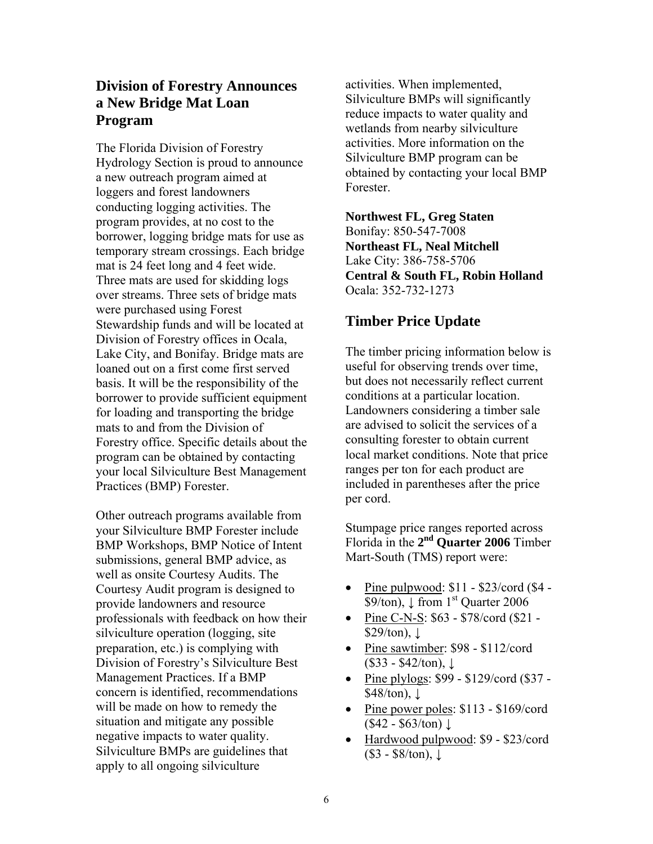## **Division of Forestry Announces a New Bridge Mat Loan Program**

The Florida Division of Forestry Hydrology Section is proud to announce a new outreach program aimed at loggers and forest landowners conducting logging activities. The program provides, at no cost to the borrower, logging bridge mats for use as temporary stream crossings. Each bridge mat is 24 feet long and 4 feet wide. Three mats are used for skidding logs over streams. Three sets of bridge mats were purchased using Forest Stewardship funds and will be located at Division of Forestry offices in Ocala, Lake City, and Bonifay. Bridge mats are loaned out on a first come first served basis. It will be the responsibility of the borrower to provide sufficient equipment for loading and transporting the bridge mats to and from the Division of Forestry office. Specific details about the program can be obtained by contacting your local Silviculture Best Management Practices (BMP) Forester.

Other outreach programs available from your Silviculture BMP Forester include BMP Workshops, BMP Notice of Intent submissions, general BMP advice, as well as onsite Courtesy Audits. The Courtesy Audit program is designed to provide landowners and resource professionals with feedback on how their silviculture operation (logging, site preparation, etc.) is complying with Division of Forestry's Silviculture Best Management Practices. If a BMP concern is identified, recommendations will be made on how to remedy the situation and mitigate any possible negative impacts to water quality. Silviculture BMPs are guidelines that apply to all ongoing silviculture

activities. When implemented, Silviculture BMPs will significantly reduce impacts to water quality and wetlands from nearby silviculture activities. More information on the Silviculture BMP program can be obtained by contacting your local BMP Forester.

**Northwest FL, Greg Staten**  Bonifay: 850-547-7008 **Northeast FL, Neal Mitchell**  Lake City: 386-758-5706 **Central & South FL, Robin Holland**  Ocala: 352-732-1273

## **Timber Price Update**

The timber pricing information below is useful for observing trends over time, but does not necessarily reflect current conditions at a particular location. Landowners considering a timber sale are advised to solicit the services of a consulting forester to obtain current local market conditions. Note that price ranges per ton for each product are included in parentheses after the price per cord.

Stumpage price ranges reported across Florida in the **2nd Quarter 2006** Timber Mart-South (TMS) report were:

- Pine pulpwood:  $$11 $23$ /cord ( $$4 -$ \$9/ton),  $\downarrow$  from 1<sup>st</sup> Quarter 2006
- Pine C-N-S: \$63 \$78/cord (\$21  $$29/ton$ ,  $\downarrow$
- Pine sawtimber: \$98 \$112/cord  $($33 - $42/ton)$ ,  $\downarrow$
- Pine plylogs: \$99 \$129/cord (\$37 - $$48/ton$ ),  $\downarrow$
- Pine power poles: \$113 \$169/cord  $($42 - $63/ton) \downarrow$
- Hardwood pulpwood: \$9 \$23/cord (\$3 - \$8/ton), ↓